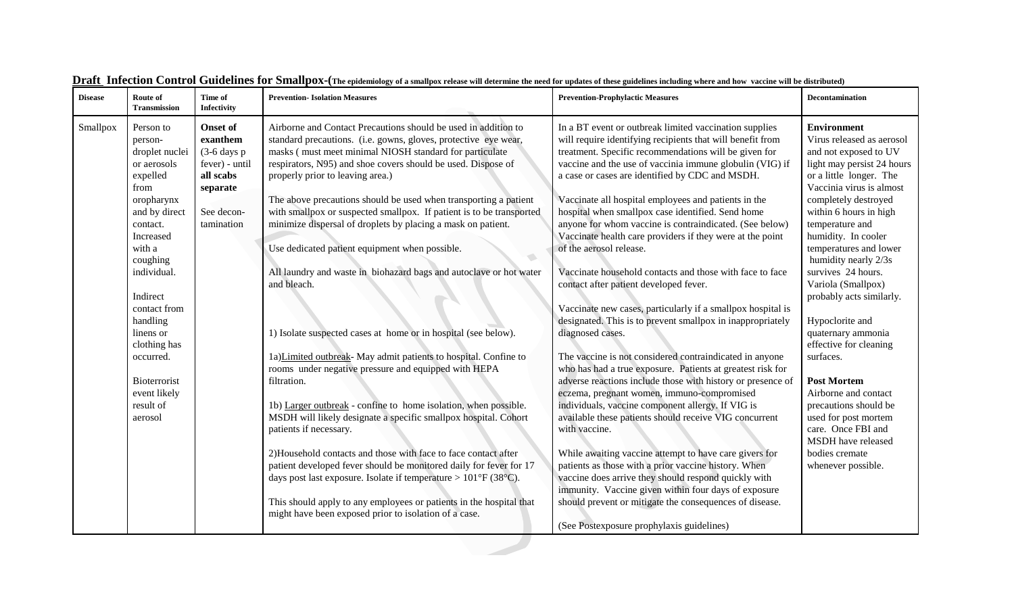| <b>Disease</b> | Route of<br>Transmission                                                                                                                                                                                                                                                                                         | Time of<br>Infectivity                                                                                                       | <b>Prevention-Isolation Measures</b>                                                                                                                                                                                                                                                                                                                                                                                                                                                                                                                                                                                                                                                                                                                                                                                                                                                                                                                                                                                                                                                                                                                                                                                                                                                                                                                                                                                   | <b>Prevention-Prophylactic Measures</b>                                                                                                                                                                                                                                                                                                                                                                                                                                                                                                                                                                                                                                                                                                                                                                                                                                                                                                                                                                                                                                                                                                                                                                                                                                                                                                                                                                                                                                                                                             | <b>Decontamination</b>                                                                                                                                                                                                                                                                                                                                                                                                                                                                                                                                                                                                                                 |
|----------------|------------------------------------------------------------------------------------------------------------------------------------------------------------------------------------------------------------------------------------------------------------------------------------------------------------------|------------------------------------------------------------------------------------------------------------------------------|------------------------------------------------------------------------------------------------------------------------------------------------------------------------------------------------------------------------------------------------------------------------------------------------------------------------------------------------------------------------------------------------------------------------------------------------------------------------------------------------------------------------------------------------------------------------------------------------------------------------------------------------------------------------------------------------------------------------------------------------------------------------------------------------------------------------------------------------------------------------------------------------------------------------------------------------------------------------------------------------------------------------------------------------------------------------------------------------------------------------------------------------------------------------------------------------------------------------------------------------------------------------------------------------------------------------------------------------------------------------------------------------------------------------|-------------------------------------------------------------------------------------------------------------------------------------------------------------------------------------------------------------------------------------------------------------------------------------------------------------------------------------------------------------------------------------------------------------------------------------------------------------------------------------------------------------------------------------------------------------------------------------------------------------------------------------------------------------------------------------------------------------------------------------------------------------------------------------------------------------------------------------------------------------------------------------------------------------------------------------------------------------------------------------------------------------------------------------------------------------------------------------------------------------------------------------------------------------------------------------------------------------------------------------------------------------------------------------------------------------------------------------------------------------------------------------------------------------------------------------------------------------------------------------------------------------------------------------|--------------------------------------------------------------------------------------------------------------------------------------------------------------------------------------------------------------------------------------------------------------------------------------------------------------------------------------------------------------------------------------------------------------------------------------------------------------------------------------------------------------------------------------------------------------------------------------------------------------------------------------------------------|
| Smallpox       | Person to<br>person-<br>droplet nuclei<br>or aerosols<br>expelled<br>from<br>oropharynx<br>and by direct<br>contact.<br>Increased<br>with a<br>coughing<br>individual.<br>Indirect<br>contact from<br>handling<br>linens or<br>clothing has<br>occurred.<br>Bioterrorist<br>event likely<br>result of<br>aerosol | <b>Onset of</b><br>exanthem<br>$(3-6 \text{ days p})$<br>fever) - until<br>all scabs<br>separate<br>See decon-<br>tamination | Airborne and Contact Precautions should be used in addition to<br>standard precautions. (i.e. gowns, gloves, protective eye wear,<br>masks (must meet minimal NIOSH standard for particulate<br>respirators, N95) and shoe covers should be used. Dispose of<br>properly prior to leaving area.)<br>The above precautions should be used when transporting a patient<br>with smallpox or suspected smallpox. If patient is to be transported<br>minimize dispersal of droplets by placing a mask on patient.<br>Use dedicated patient equipment when possible.<br>$\overline{\phantom{a}}$<br>All laundry and waste in biohazard bags and autoclave or hot water<br>and bleach.<br>1) Isolate suspected cases at home or in hospital (see below).<br>1a)Limited outbreak- May admit patients to hospital. Confine to<br>rooms under negative pressure and equipped with HEPA<br>filtration.<br>1b) Larger outbreak - confine to home isolation, when possible.<br>MSDH will likely designate a specific smallpox hospital. Cohort<br>patients if necessary.<br>2)Household contacts and those with face to face contact after<br>patient developed fever should be monitored daily for fever for 17<br>days post last exposure. Isolate if temperature > $101^{\circ}F(38^{\circ}C)$ .<br>This should apply to any employees or patients in the hospital that<br>might have been exposed prior to isolation of a case. | In a BT event or outbreak limited vaccination supplies<br>will require identifying recipients that will benefit from<br>treatment. Specific recommendations will be given for<br>vaccine and the use of vaccinia immune globulin (VIG) if<br>a case or cases are identified by CDC and MSDH.<br>Vaccinate all hospital employees and patients in the<br>hospital when smallpox case identified. Send home<br>anyone for whom vaccine is contraindicated. (See below)<br>Vaccinate health care providers if they were at the point<br>of the aerosol release.<br>Vaccinate household contacts and those with face to face<br>contact after patient developed fever.<br>Vaccinate new cases, particularly if a smallpox hospital is<br>designated. This is to prevent smallpox in inappropriately<br>diagnosed cases.<br>The vaccine is not considered contraindicated in anyone<br>who has had a true exposure. Patients at greatest risk for<br>adverse reactions include those with history or presence of<br>eczema, pregnant women, immuno-compromised<br>individuals, vaccine component allergy. If VIG is<br>available these patients should receive VIG concurrent<br>with vaccine.<br>While awaiting vaccine attempt to have care givers for<br>patients as those with a prior vaccine history. When<br>vaccine does arrive they should respond quickly with<br>immunity. Vaccine given within four days of exposure<br>should prevent or mitigate the consequences of disease.<br>(See Postexposure prophylaxis guidelines) | <b>Environment</b><br>Virus released as aerosol<br>and not exposed to UV<br>light may persist 24 hours<br>or a little longer. The<br>Vaccinia virus is almost<br>completely destroyed<br>within 6 hours in high<br>temperature and<br>humidity. In cooler<br>temperatures and lower<br>humidity nearly 2/3s<br>survives 24 hours.<br>Variola (Smallpox)<br>probably acts similarly.<br>Hypoclorite and<br>quaternary ammonia<br>effective for cleaning<br>surfaces.<br><b>Post Mortem</b><br>Airborne and contact<br>precautions should be<br>used for post mortem<br>care. Once FBI and<br>MSDH have released<br>bodies cremate<br>whenever possible. |
|                |                                                                                                                                                                                                                                                                                                                  |                                                                                                                              |                                                                                                                                                                                                                                                                                                                                                                                                                                                                                                                                                                                                                                                                                                                                                                                                                                                                                                                                                                                                                                                                                                                                                                                                                                                                                                                                                                                                                        |                                                                                                                                                                                                                                                                                                                                                                                                                                                                                                                                                                                                                                                                                                                                                                                                                                                                                                                                                                                                                                                                                                                                                                                                                                                                                                                                                                                                                                                                                                                                     |                                                                                                                                                                                                                                                                                                                                                                                                                                                                                                                                                                                                                                                        |

|  | <b>Draft</b> Infection Control Guidelines for Smallpox-(The epidemiology of a smallpox release will determine the need for updates of these guidelines including where and how vaccine will be distributed) |
|--|-------------------------------------------------------------------------------------------------------------------------------------------------------------------------------------------------------------|
|  |                                                                                                                                                                                                             |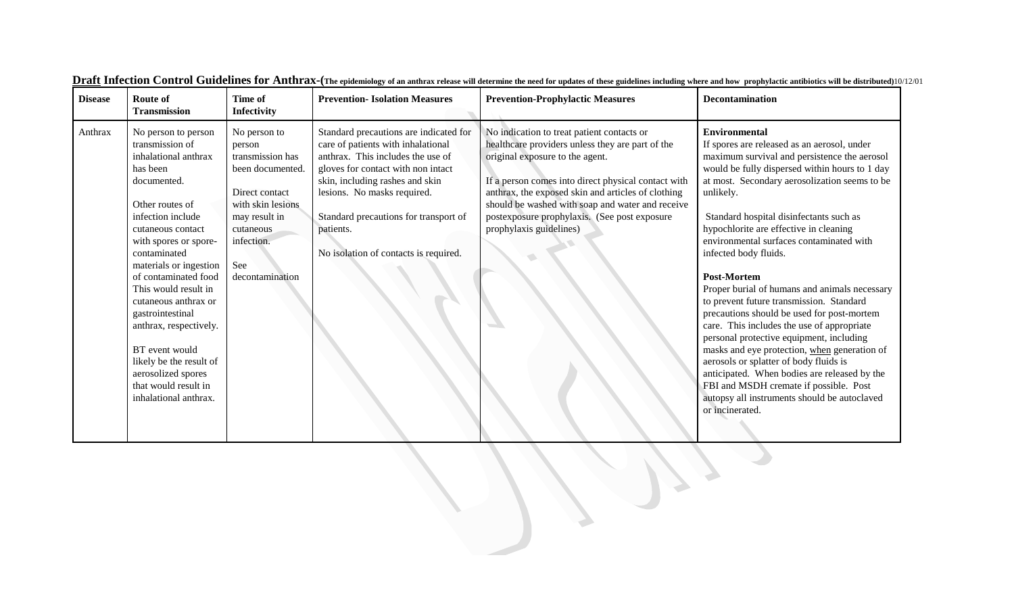| <b>Disease</b> | Route of<br><b>Transmission</b>                                                                                                                                                                                                                                                                                                                                                                                                                                     | Time of<br>Infectivity                                                                                                                                                      | <b>Prevention-Isolation Measures</b>                                                                                                                                                                                                                                                                                     | <b>Prevention-Prophylactic Measures</b>                                                                                                                                                                                                                                                                                                                                       | <b>Decontamination</b>                                                                                                                                                                                                                                                                                                                                                                                                                                                                                                                                                                                                                                                                                                                                                                                                                                                                                          |
|----------------|---------------------------------------------------------------------------------------------------------------------------------------------------------------------------------------------------------------------------------------------------------------------------------------------------------------------------------------------------------------------------------------------------------------------------------------------------------------------|-----------------------------------------------------------------------------------------------------------------------------------------------------------------------------|--------------------------------------------------------------------------------------------------------------------------------------------------------------------------------------------------------------------------------------------------------------------------------------------------------------------------|-------------------------------------------------------------------------------------------------------------------------------------------------------------------------------------------------------------------------------------------------------------------------------------------------------------------------------------------------------------------------------|-----------------------------------------------------------------------------------------------------------------------------------------------------------------------------------------------------------------------------------------------------------------------------------------------------------------------------------------------------------------------------------------------------------------------------------------------------------------------------------------------------------------------------------------------------------------------------------------------------------------------------------------------------------------------------------------------------------------------------------------------------------------------------------------------------------------------------------------------------------------------------------------------------------------|
| Anthrax        | No person to person<br>transmission of<br>inhalational anthrax<br>has been<br>documented.<br>Other routes of<br>infection include<br>cutaneous contact<br>with spores or spore-<br>contaminated<br>materials or ingestion<br>of contaminated food<br>This would result in<br>cutaneous anthrax or<br>gastrointestinal<br>anthrax, respectively.<br>BT event would<br>likely be the result of<br>aerosolized spores<br>that would result in<br>inhalational anthrax. | No person to<br>person<br>transmission has<br>been documented.<br>Direct contact<br>with skin lesions<br>may result in<br>cutaneous<br>infection.<br>See<br>decontamination | Standard precautions are indicated for<br>care of patients with inhalational<br>anthrax. This includes the use of<br>gloves for contact with non intact<br>skin, including rashes and skin<br>lesions. No masks required.<br>Standard precautions for transport of<br>patients.<br>No isolation of contacts is required. | No indication to treat patient contacts or<br>healthcare providers unless they are part of the<br>original exposure to the agent.<br>If a person comes into direct physical contact with<br>anthrax, the exposed skin and articles of clothing<br>should be washed with soap and water and receive<br>postexposure prophylaxis. (See post exposure<br>prophylaxis guidelines) | <b>Environmental</b><br>If spores are released as an aerosol, under<br>maximum survival and persistence the aerosol<br>would be fully dispersed within hours to 1 day<br>at most. Secondary aerosolization seems to be<br>unlikely.<br>Standard hospital disinfectants such as<br>hypochlorite are effective in cleaning<br>environmental surfaces contaminated with<br>infected body fluids.<br><b>Post-Mortem</b><br>Proper burial of humans and animals necessary<br>to prevent future transmission. Standard<br>precautions should be used for post-mortem<br>care. This includes the use of appropriate<br>personal protective equipment, including<br>masks and eye protection, when generation of<br>aerosols or splatter of body fluids is<br>anticipated. When bodies are released by the<br>FBI and MSDH cremate if possible. Post<br>autopsy all instruments should be autoclaved<br>or incinerated. |
|                |                                                                                                                                                                                                                                                                                                                                                                                                                                                                     |                                                                                                                                                                             |                                                                                                                                                                                                                                                                                                                          |                                                                                                                                                                                                                                                                                                                                                                               |                                                                                                                                                                                                                                                                                                                                                                                                                                                                                                                                                                                                                                                                                                                                                                                                                                                                                                                 |

3

**Draft Infection Control Guidelines for Anthrax-**(The epidemiology of an anthrax release will determine the need for updates of these guidelines including where and how prophylactic antibiotics will be distributed)10/12/01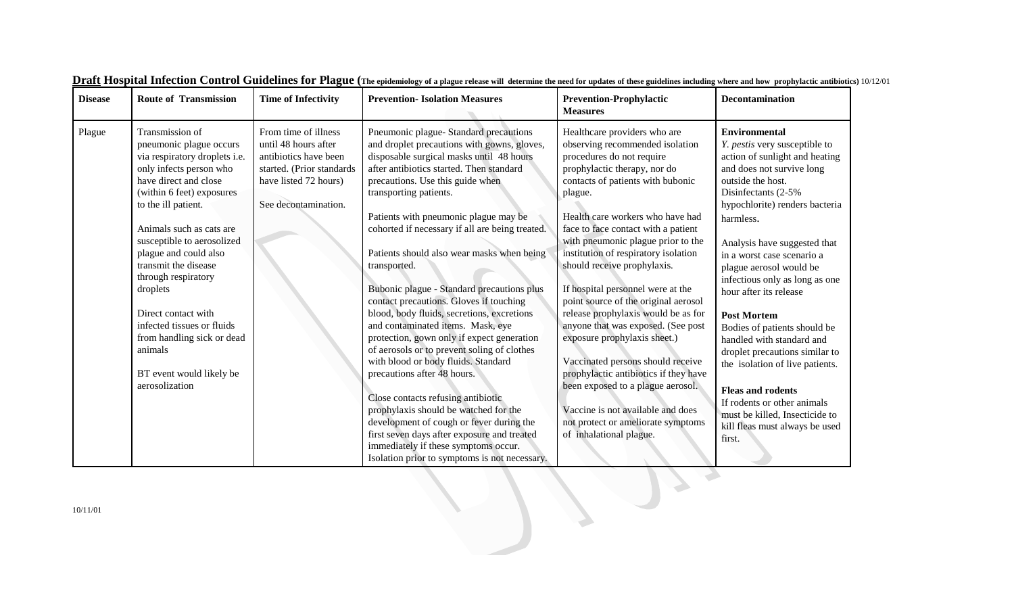| <b>Disease</b> | <b>Route of Transmission</b>                                                                                                                                                                                                                                                                                                                                                                                                                                                  | <b>Time of Infectivity</b>                                                                                                                          | <b>Prevention-Isolation Measures</b>                                                                                                                                                                                                                                                                                                                                                                                                                                                                                                                                                                                                                                                                                                                                                                                                                                                                                                                                                                                    | <b>Prevention-Prophylactic</b><br><b>Measures</b>                                                                                                                                                                                                                                                                                                                                                                                                                                                                                                                                                                                                                                                                                                                                       | <b>Decontamination</b>                                                                                                                                                                                                                                                                                                                                                                                                                                                                                                                                                                                                                                                 |
|----------------|-------------------------------------------------------------------------------------------------------------------------------------------------------------------------------------------------------------------------------------------------------------------------------------------------------------------------------------------------------------------------------------------------------------------------------------------------------------------------------|-----------------------------------------------------------------------------------------------------------------------------------------------------|-------------------------------------------------------------------------------------------------------------------------------------------------------------------------------------------------------------------------------------------------------------------------------------------------------------------------------------------------------------------------------------------------------------------------------------------------------------------------------------------------------------------------------------------------------------------------------------------------------------------------------------------------------------------------------------------------------------------------------------------------------------------------------------------------------------------------------------------------------------------------------------------------------------------------------------------------------------------------------------------------------------------------|-----------------------------------------------------------------------------------------------------------------------------------------------------------------------------------------------------------------------------------------------------------------------------------------------------------------------------------------------------------------------------------------------------------------------------------------------------------------------------------------------------------------------------------------------------------------------------------------------------------------------------------------------------------------------------------------------------------------------------------------------------------------------------------------|------------------------------------------------------------------------------------------------------------------------------------------------------------------------------------------------------------------------------------------------------------------------------------------------------------------------------------------------------------------------------------------------------------------------------------------------------------------------------------------------------------------------------------------------------------------------------------------------------------------------------------------------------------------------|
| Plague         | Transmission of<br>pneumonic plague occurs<br>via respiratory droplets i.e.<br>only infects person who<br>have direct and close<br>(within 6 feet) exposures<br>to the ill patient.<br>Animals such as cats are<br>susceptible to aerosolized<br>plague and could also<br>transmit the disease<br>through respiratory<br>droplets<br>Direct contact with<br>infected tissues or fluids<br>from handling sick or dead<br>animals<br>BT event would likely be<br>aerosolization | From time of illness<br>until 48 hours after<br>antibiotics have been<br>started. (Prior standards<br>have listed 72 hours)<br>See decontamination. | Pneumonic plague- Standard precautions<br>and droplet precautions with gowns, gloves,<br>disposable surgical masks until 48 hours<br>after antibiotics started. Then standard<br>precautions. Use this guide when<br>transporting patients.<br>Patients with pneumonic plague may be<br>cohorted if necessary if all are being treated.<br>Patients should also wear masks when being<br>transported.<br>Bubonic plague - Standard precautions plus<br>contact precautions. Gloves if touching<br>blood, body fluids, secretions, excretions<br>and contaminated items. Mask, eye<br>protection, gown only if expect generation<br>of aerosols or to prevent soling of clothes<br>with blood or body fluids. Standard<br>precautions after 48 hours.<br>Close contacts refusing antibiotic<br>prophylaxis should be watched for the<br>development of cough or fever during the<br>first seven days after exposure and treated<br>immediately if these symptoms occur.<br>Isolation prior to symptoms is not necessary. | Healthcare providers who are<br>observing recommended isolation<br>procedures do not require<br>prophylactic therapy, nor do<br>contacts of patients with bubonic<br>plague.<br>Health care workers who have had<br>face to face contact with a patient<br>with pneumonic plague prior to the<br>institution of respiratory isolation<br>should receive prophylaxis.<br>If hospital personnel were at the<br>point source of the original aerosol<br>release prophylaxis would be as for<br>anyone that was exposed. (See post<br>exposure prophylaxis sheet.)<br>Vaccinated persons should receive<br>prophylactic antibiotics if they have<br>been exposed to a plague aerosol.<br>Vaccine is not available and does<br>not protect or ameliorate symptoms<br>of inhalational plague. | <b>Environmental</b><br>Y. pestis very susceptible to<br>action of sunlight and heating<br>and does not survive long<br>outside the host.<br>Disinfectants (2-5%)<br>hypochlorite) renders bacteria<br>harmless.<br>Analysis have suggested that<br>in a worst case scenario a<br>plague aerosol would be<br>infectious only as long as one<br>hour after its release<br><b>Post Mortem</b><br>Bodies of patients should be<br>handled with standard and<br>droplet precautions similar to<br>the isolation of live patients.<br><b>Fleas and rodents</b><br>If rodents or other animals<br>must be killed, Insecticide to<br>kill fleas must always be used<br>first. |
| 10/11/01       |                                                                                                                                                                                                                                                                                                                                                                                                                                                                               |                                                                                                                                                     |                                                                                                                                                                                                                                                                                                                                                                                                                                                                                                                                                                                                                                                                                                                                                                                                                                                                                                                                                                                                                         |                                                                                                                                                                                                                                                                                                                                                                                                                                                                                                                                                                                                                                                                                                                                                                                         |                                                                                                                                                                                                                                                                                                                                                                                                                                                                                                                                                                                                                                                                        |

|  |  | $\rm \underline{Draff}$ Hospital Infection Control Guidelines for Plague (The epidemiology of a plague release will determine the need for updates of these guidelines including where and how prophylactic antibiotics) 10/12/01 |  |  |  |  |
|--|--|-----------------------------------------------------------------------------------------------------------------------------------------------------------------------------------------------------------------------------------|--|--|--|--|
|  |  |                                                                                                                                                                                                                                   |  |  |  |  |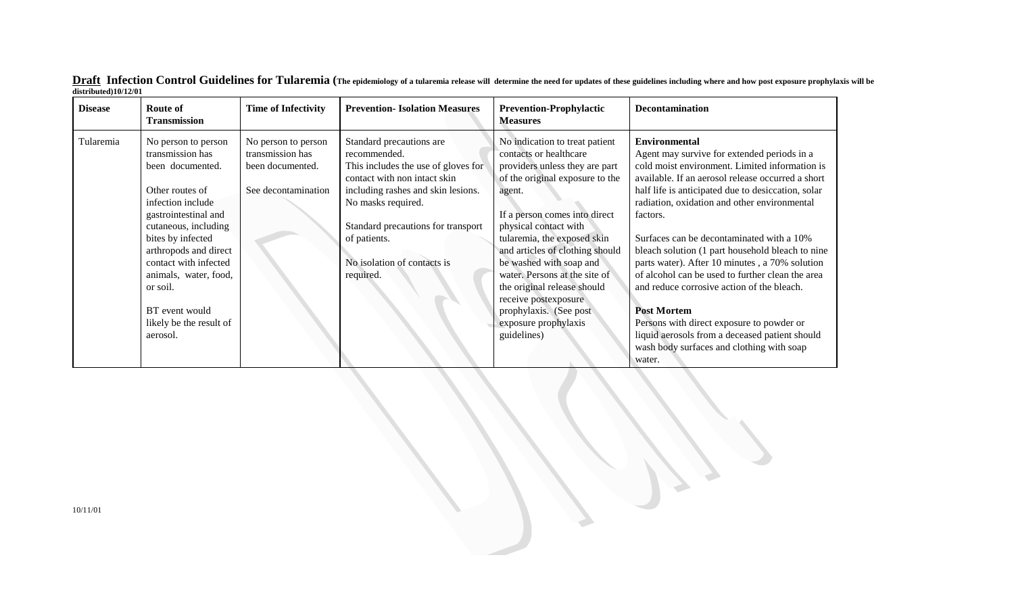| <b>Disease</b> | Route of<br><b>Transmission</b>                                                                                                                                   | <b>Time of Infectivity</b>                                                         | <b>Prevention-Isolation Measures</b>                                                                                                                                                                              | <b>Prevention-Prophylactic</b><br><b>Measures</b>                                                                                                                                                                                                  | <b>Decontamination</b>                                                                                                                                                                                                                                                                                                                                                                                                        |
|----------------|-------------------------------------------------------------------------------------------------------------------------------------------------------------------|------------------------------------------------------------------------------------|-------------------------------------------------------------------------------------------------------------------------------------------------------------------------------------------------------------------|----------------------------------------------------------------------------------------------------------------------------------------------------------------------------------------------------------------------------------------------------|-------------------------------------------------------------------------------------------------------------------------------------------------------------------------------------------------------------------------------------------------------------------------------------------------------------------------------------------------------------------------------------------------------------------------------|
| Tularemia      | No person to person<br>transmission has<br>been documented.<br>Other routes of<br>infection include<br>gastrointestinal and<br>cutaneous, including               | No person to person<br>transmission has<br>been documented.<br>See decontamination | Standard precautions are<br>recommended.<br>This includes the use of gloves for<br>contact with non intact skin<br>including rashes and skin lesions.<br>No masks required.<br>Standard precautions for transport | No indication to treat patient<br>contacts or healthcare<br>providers unless they are part<br>of the original exposure to the<br>agent.<br>If a person comes into direct<br>physical contact with                                                  | <b>Environmental</b><br>Agent may survive for extended periods in a<br>cold moist environment. Limited information is<br>available. If an aerosol release occurred a short<br>half life is anticipated due to desiccation, solar<br>radiation, oxidation and other environmental<br>factors.                                                                                                                                  |
|                | bites by infected<br>arthropods and direct<br>contact with infected<br>animals, water, food,<br>or soil.<br>BT event would<br>likely be the result of<br>aerosol. |                                                                                    | of patients.<br>No isolation of contacts is<br>required.                                                                                                                                                          | tularemia, the exposed skin<br>and articles of clothing should<br>be washed with soap and<br>water. Persons at the site of<br>the original release should<br>receive postexposure<br>prophylaxis. (See post<br>exposure prophylaxis<br>guidelines) | Surfaces can be decontaminated with a 10%<br>bleach solution (1 part household bleach to nine<br>parts water). After 10 minutes, a 70% solution<br>of alcohol can be used to further clean the area<br>and reduce corrosive action of the bleach.<br><b>Post Mortem</b><br>Persons with direct exposure to powder or<br>liquid aerosols from a deceased patient should<br>wash body surfaces and clothing with soap<br>water. |

 $\bf{Draff}$   $\bf{Infection Control Guidelines for Tularemia}$  (The epidemiology of a tularemia release will determine the need for updates of these guidelines including where and how post exposure prophylaxis will be **distributed)10/12/01**